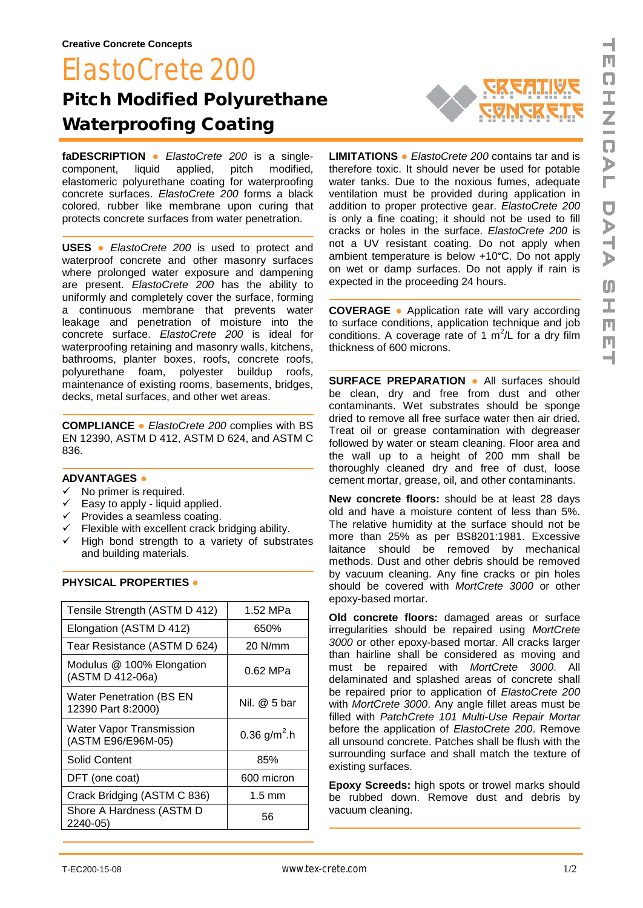## ElastoCrete 200 Pitch Modified Polyurethane Waterproofing Coating



**faDESCRIPTION ●** *ElastoCrete 200* is a singlecomponent, liquid applied, pitch modified, elastomeric polyurethane coating for waterproofing concrete surfaces. *ElastoCrete 200* forms a black colored, rubber like membrane upon curing that protects concrete surfaces from water penetration.

**USES ●** *ElastoCrete 200* is used to protect and waterproof concrete and other masonry surfaces where prolonged water exposure and dampening are present. *ElastoCrete 200* has the ability to uniformly and completely cover the surface, forming a continuous membrane that prevents water leakage and penetration of moisture into the concrete surface. *ElastoCrete 200* is ideal for waterproofing retaining and masonry walls, kitchens, bathrooms, planter boxes, roofs, concrete roofs, polyurethane foam, polyester buildup roofs, maintenance of existing rooms, basements, bridges, decks, metal surfaces, and other wet areas.

**COMPLIANCE ●** *ElastoCrete 200* complies with BS EN 12390, ASTM D 412, ASTM D 624, and ASTM C 836.

## **ADVANTAGES ●**

- $\checkmark$  No primer is required.
- $\checkmark$  Easy to apply liquid applied.
- $\checkmark$  Provides a seamless coating.
- $\checkmark$  Flexible with excellent crack bridging ability.
- $\checkmark$  High bond strength to a variety of substrates and building materials.

| Tensile Strength (ASTM D 412)                         | 1.52 MPa                 |
|-------------------------------------------------------|--------------------------|
| Elongation (ASTM D 412)                               | 650%                     |
| Tear Resistance (ASTM D 624)                          | 20 N/mm                  |
| Modulus @ 100% Elongation<br>(ASTM D 412-06a)         | 0.62 MPa                 |
| <b>Water Penetration (BS EN</b><br>12390 Part 8:2000) | Nil. @ 5 bar             |
| <b>Water Vapor Transmission</b><br>(ASTM E96/E96M-05) | 0.36 g/m <sup>2</sup> .h |
| <b>Solid Content</b>                                  | 85%                      |
| DFT (one coat)                                        | 600 micron               |
| Crack Bridging (ASTM C 836)                           | $1.5 \text{ mm}$         |
| Shore A Hardness (ASTM D<br>$2240 - 05$               | 56                       |

## **PHYSICAL PROPERTIES ●**

**LIMITATIONS ●** *ElastoCrete 200* contains tar and is therefore toxic. It should never be used for potable water tanks. Due to the noxious fumes, adequate ventilation must be provided during application in addition to proper protective gear. *ElastoCrete 200* is only a fine coating; it should not be used to fill cracks or holes in the surface. *ElastoCrete 200* is not a UV resistant coating. Do not apply when ambient temperature is below +10°C. Do not apply on wet or damp surfaces. Do not apply if rain is expected in the proceeding 24 hours.

**COVERAGE ●** Application rate will vary according to surface conditions, application technique and job conditions. A coverage rate of 1  $m^2/L$  for a dry film thickness of 600 microns.

**SURFACE PREPARATION ●** All surfaces should be clean, dry and free from dust and other contaminants. Wet substrates should be sponge dried to remove all free surface water then air dried. Treat oil or grease contamination with degreaser followed by water or steam cleaning. Floor area and the wall up to a height of 200 mm shall be thoroughly cleaned dry and free of dust, loose cement mortar, grease, oil, and other contaminants.

**New concrete floors:** should be at least 28 days old and have a moisture content of less than 5%. The relative humidity at the surface should not be more than 25% as per BS8201:1981. Excessive laitance should be removed by mechanical methods. Dust and other debris should be removed by vacuum cleaning. Any fine cracks or pin holes should be covered with *MortCrete 3000* or other epoxy-based mortar.

**Old concrete floors:** damaged areas or surface irregularities should be repaired using *MortCrete 3000* or other epoxy-based mortar. All cracks larger than hairline shall be considered as moving and must be repaired with *MortCrete 3000*. All delaminated and splashed areas of concrete shall be repaired prior to application of *ElastoCrete 200* with *MortCrete 3000*. Any angle fillet areas must be filled with *PatchCrete 101 Multi-Use Repair Mortar* before the application of *ElastoCrete 200*. Remove all unsound concrete. Patches shall be flush with the surrounding surface and shall match the texture of existing surfaces.

**Epoxy Screeds:** high spots or trowel marks should be rubbed down. Remove dust and debris by vacuum cleaning.